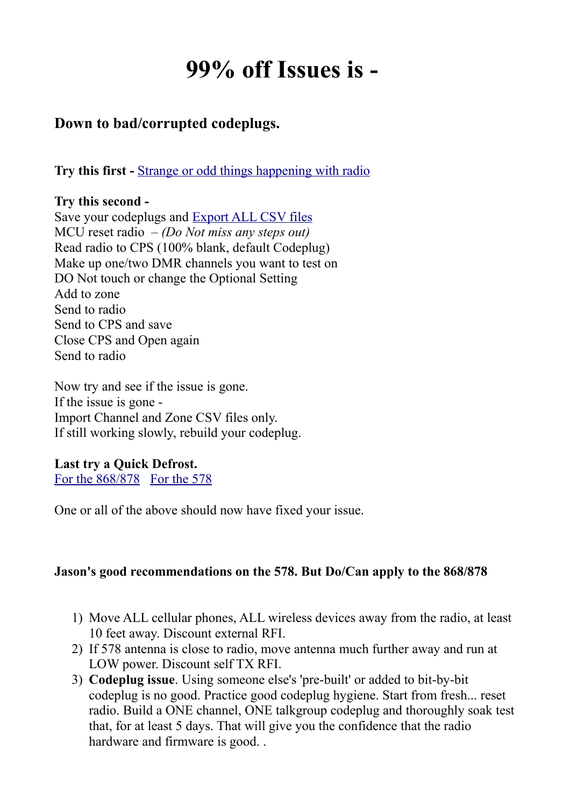# **99% off Issues is -**

## **Down to bad/corrupted codeplugs.**

**Try this first -** [Strange or odd things happening with radio](http://hamradio.joomla.com/images/Anytone/Strange_or_odd_things_happening.pdf)

### **Try this second -**

Save your codeplugs and [Export ALL CSV files](http://hamradio.joomla.com/images/Anytone/Export_and_Import_All_CSV.pdf) MCU reset radio – *(Do Not miss any steps out)* Read radio to CPS (100% blank, default Codeplug) Make up one/two DMR channels you want to test on DO Not touch or change the Optional Setting Add to zone Send to radio Send to CPS and save Close CPS and Open again Send to radio

Now try and see if the issue is gone. If the issue is gone - Import Channel and Zone CSV files only. If still working slowly, rebuild your codeplug.

### **Last try a Quick Defrost.**

[For the 868/878](http://members.optuszoo.com.au/jason.reilly1/868mods.htm#Frozen) [For the 578](http://members.optuszoo.com.au/jason.reilly1/578mods.htm#Frozen)

One or all of the above should now have fixed your issue.

### **Jason's good recommendations on the 578. But Do/Can apply to the 868/878**

- 1) Move ALL cellular phones, ALL wireless devices away from the radio, at least 10 feet away. Discount external RFI.
- 2) If 578 antenna is close to radio, move antenna much further away and run at LOW power. Discount self TX RFI.
- 3) **Codeplug issue**. Using someone else's 'pre-built' or added to bit-by-bit codeplug is no good. Practice good codeplug hygiene. Start from fresh... reset radio. Build a ONE channel, ONE talkgroup codeplug and thoroughly soak test that, for at least 5 days. That will give you the confidence that the radio hardware and firmware is good. .